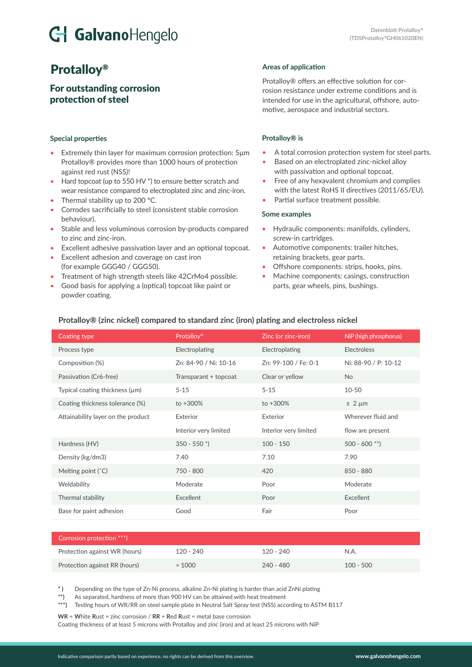# G GalvanoHengelo

## Protalloy®

### For outstanding corrosion protection of steel

#### **Special properties**

- Extremely thin layer for maximum corrosion protection: 5μm Protalloy® provides more than 1000 hours of protection against red rust (NSS)!
- Hard topcoat (up to 550 HV \*) to ensure better scratch and wear resistance compared to electroplated zinc and zinc-iron.
- Thermal stability up to 200 °C.
- Corrodes sacrificially to steel (consistent stable corrosion behaviour).
- Stable and less voluminous corrosion by-products compared to zinc and zinc-iron.
- Excellent adhesive passivation layer and an optional topcoat.
- Excellent adhesion and coverage on cast iron (for example GGG40 / GGG50).
- Treatment of high strength steels like 42CrMo4 possible.
- Good basis for applying a (optical) topcoat like paint or powder coating.

#### **Areas of application**

Protalloy® offers an effective solution for corrosion resistance under extreme conditions and is intended for use in the agricultural, offshore, automotive, aerospace and industrial sectors.

#### **Protalloy® is**

- A total corrosion protection system for steel parts.
- Based on an electroplated zinc-nickel alloy with passivation and optional topcoat.
- Free of any hexavalent chromium and complies with the latest RoHS II directives (2011/65/EU).
- Partial surface treatment possible.

#### **Some examples**

- Hydraulic components: manifolds, cylinders, screw-in cartridges.
- Automotive components: trailer hitches, retaining brackets, gear parts.
- Offshore components: strips, hooks, pins.
- Machine components: casings, construction parts, gear wheels, pins, bushings.

#### **Protalloy® (zinc nickel) compared to standard zinc (iron) plating and electroless nickel**

| Coating type                        | Protalloy <sup>®</sup>     | Zinc (or zinc-iron)   | NiP (high phosphorus) |
|-------------------------------------|----------------------------|-----------------------|-----------------------|
| Process type                        | Electroplating             | Electroplating        | <b>Electroless</b>    |
| Composition (%)                     | Zn: 84-90 / Ni: 10-16      | Zn: 99-100 / Fe: 0-1  | Ni: 88-90 / P: 10-12  |
| Passivation (Cr6-free)              | Transparant + topcoat      | Clear or yellow       | <b>No</b>             |
| Typical coating thickness $(\mu m)$ | $5 - 15$                   | $5 - 15$              | $10 - 50$             |
| Coating thickness tolerance (%)     | $to +300%$                 | $to +300%$            | $± 2 \mu m$           |
| Attainability layer on the product  | Exterior                   | Exterior              | Wherever fluid and    |
|                                     | Interior very limited      | Interior very limited | flow are present      |
| Hardness (HV)                       | $350 - 550$ <sup>*</sup> ) | $100 - 150$           | $500 - 600$ **)       |
| Density (kg/dm3)                    | 7.40                       | 7.10                  | 7.90                  |
| Melting point $(°C)$                | 750 - 800                  | 420                   | 850 - 880             |
| Weldability                         | Moderate                   | Poor                  | Moderate              |
| Thermal stability                   | Excellent                  | Poor                  | Excellent             |
| Base for paint adhesion             | Good                       | Fair                  | Poor                  |

| Corrosion protection ***)     |           |             |             |
|-------------------------------|-----------|-------------|-------------|
| Protection against WR (hours) | 120 - 240 | 120 - 240   | N.A.        |
| Protection against RR (hours) | > 1000    | $240 - 480$ | $100 - 500$ |

**\* )** Depending on the type of Zn-Ni process, alkaline Zn-Ni plating is harder than acid ZnNi plating

**\*\*)** As separated, hardness of more than 900 HV can be attained with heat treatment

**\*\*\*)** Testing hours of WR/RR on steel sample plate in Neutral Salt Spray test (NSS) according to ASTM B117

**WR** = **W**hite **R**ust = zinc corrosion / **RR** = **R**ed **R**ust = metal base corrosion Coating thickness of at least 5 microns with Protalloy and zinc (iron) and at least 25 microns with NiP